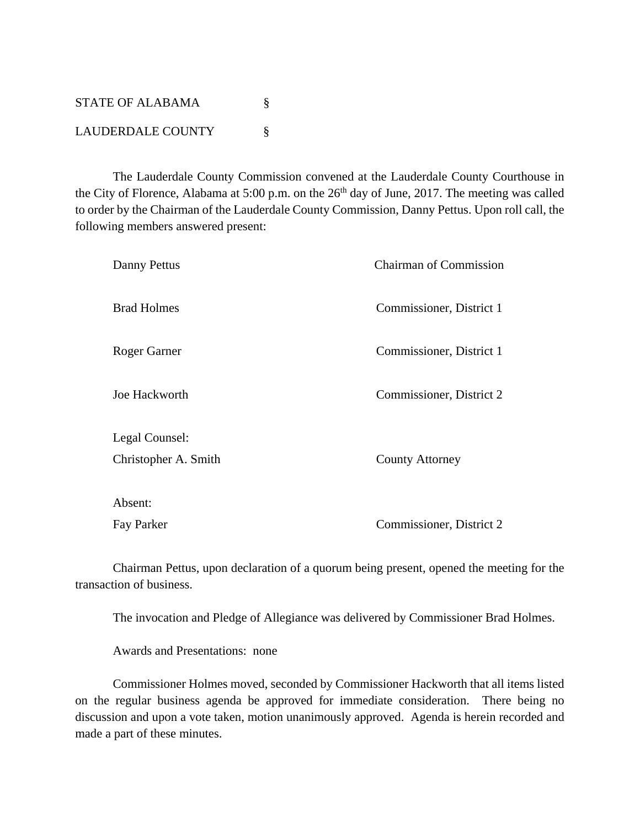STATE OF ALABAMA  $\S$ LAUDERDALE COUNTY \§

 The Lauderdale County Commission convened at the Lauderdale County Courthouse in the City of Florence, Alabama at 5:00 p.m. on the 26<sup>th</sup> day of June, 2017. The meeting was called to order by the Chairman of the Lauderdale County Commission, Danny Pettus. Upon roll call, the following members answered present:

| Danny Pettus         | <b>Chairman of Commission</b> |
|----------------------|-------------------------------|
| <b>Brad Holmes</b>   | Commissioner, District 1      |
| Roger Garner         | Commissioner, District 1      |
| Joe Hackworth        | Commissioner, District 2      |
| Legal Counsel:       |                               |
| Christopher A. Smith | <b>County Attorney</b>        |
| Absent:              |                               |
| Fay Parker           | Commissioner, District 2      |

 Chairman Pettus, upon declaration of a quorum being present, opened the meeting for the transaction of business.

The invocation and Pledge of Allegiance was delivered by Commissioner Brad Holmes.

Awards and Presentations: none

Commissioner Holmes moved, seconded by Commissioner Hackworth that all items listed on the regular business agenda be approved for immediate consideration. There being no discussion and upon a vote taken, motion unanimously approved. Agenda is herein recorded and made a part of these minutes.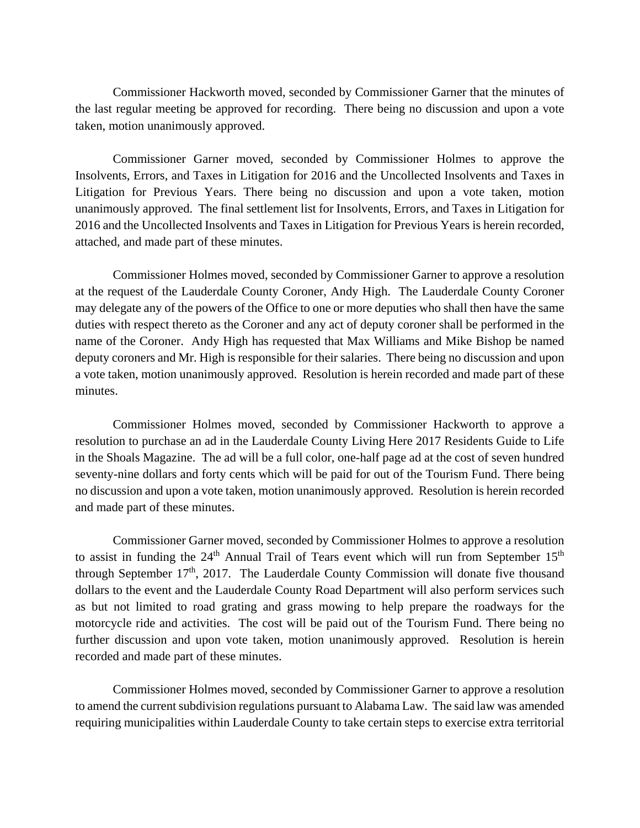Commissioner Hackworth moved, seconded by Commissioner Garner that the minutes of the last regular meeting be approved for recording. There being no discussion and upon a vote taken, motion unanimously approved.

Commissioner Garner moved, seconded by Commissioner Holmes to approve the Insolvents, Errors, and Taxes in Litigation for 2016 and the Uncollected Insolvents and Taxes in Litigation for Previous Years. There being no discussion and upon a vote taken, motion unanimously approved. The final settlement list for Insolvents, Errors, and Taxes in Litigation for 2016 and the Uncollected Insolvents and Taxes in Litigation for Previous Years is herein recorded, attached, and made part of these minutes.

Commissioner Holmes moved, seconded by Commissioner Garner to approve a resolution at the request of the Lauderdale County Coroner, Andy High. The Lauderdale County Coroner may delegate any of the powers of the Office to one or more deputies who shall then have the same duties with respect thereto as the Coroner and any act of deputy coroner shall be performed in the name of the Coroner. Andy High has requested that Max Williams and Mike Bishop be named deputy coroners and Mr. High is responsible for their salaries. There being no discussion and upon a vote taken, motion unanimously approved. Resolution is herein recorded and made part of these minutes.

 Commissioner Holmes moved, seconded by Commissioner Hackworth to approve a resolution to purchase an ad in the Lauderdale County Living Here 2017 Residents Guide to Life in the Shoals Magazine. The ad will be a full color, one-half page ad at the cost of seven hundred seventy-nine dollars and forty cents which will be paid for out of the Tourism Fund. There being no discussion and upon a vote taken, motion unanimously approved. Resolution is herein recorded and made part of these minutes.

 Commissioner Garner moved, seconded by Commissioner Holmes to approve a resolution to assist in funding the  $24<sup>th</sup>$  Annual Trail of Tears event which will run from September  $15<sup>th</sup>$ through September  $17<sup>th</sup>$ , 2017. The Lauderdale County Commission will donate five thousand dollars to the event and the Lauderdale County Road Department will also perform services such as but not limited to road grating and grass mowing to help prepare the roadways for the motorcycle ride and activities. The cost will be paid out of the Tourism Fund. There being no further discussion and upon vote taken, motion unanimously approved. Resolution is herein recorded and made part of these minutes.

 Commissioner Holmes moved, seconded by Commissioner Garner to approve a resolution to amend the current subdivision regulations pursuant to Alabama Law. The said law was amended requiring municipalities within Lauderdale County to take certain steps to exercise extra territorial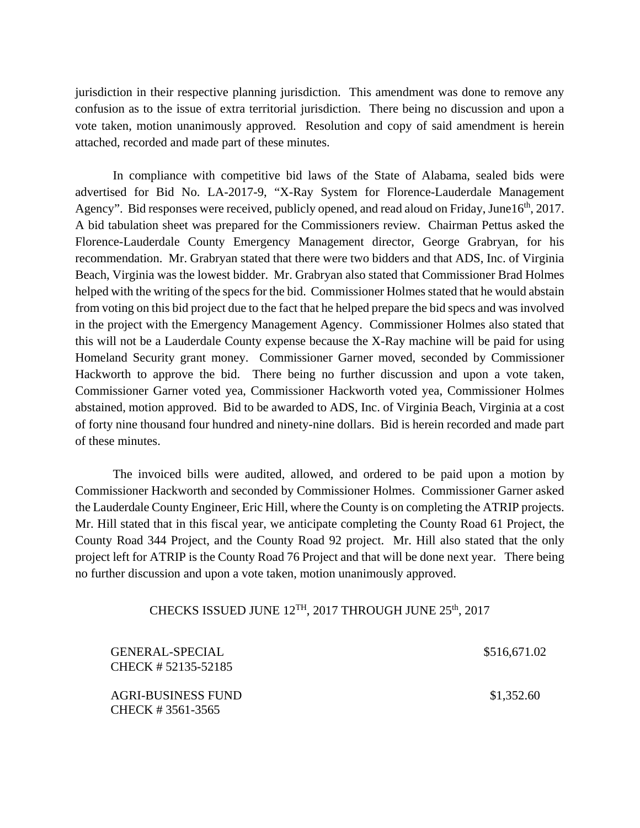jurisdiction in their respective planning jurisdiction. This amendment was done to remove any confusion as to the issue of extra territorial jurisdiction. There being no discussion and upon a vote taken, motion unanimously approved. Resolution and copy of said amendment is herein attached, recorded and made part of these minutes.

 In compliance with competitive bid laws of the State of Alabama, sealed bids were advertised for Bid No. LA-2017-9, "X-Ray System for Florence-Lauderdale Management Agency". Bid responses were received, publicly opened, and read aloud on Friday, June16<sup>th</sup>, 2017. A bid tabulation sheet was prepared for the Commissioners review. Chairman Pettus asked the Florence-Lauderdale County Emergency Management director, George Grabryan, for his recommendation. Mr. Grabryan stated that there were two bidders and that ADS, Inc. of Virginia Beach, Virginia was the lowest bidder. Mr. Grabryan also stated that Commissioner Brad Holmes helped with the writing of the specs for the bid. Commissioner Holmes stated that he would abstain from voting on this bid project due to the fact that he helped prepare the bid specs and was involved in the project with the Emergency Management Agency. Commissioner Holmes also stated that this will not be a Lauderdale County expense because the X-Ray machine will be paid for using Homeland Security grant money. Commissioner Garner moved, seconded by Commissioner Hackworth to approve the bid. There being no further discussion and upon a vote taken, Commissioner Garner voted yea, Commissioner Hackworth voted yea, Commissioner Holmes abstained, motion approved. Bid to be awarded to ADS, Inc. of Virginia Beach, Virginia at a cost of forty nine thousand four hundred and ninety-nine dollars. Bid is herein recorded and made part of these minutes.

The invoiced bills were audited, allowed, and ordered to be paid upon a motion by Commissioner Hackworth and seconded by Commissioner Holmes. Commissioner Garner asked the Lauderdale County Engineer, Eric Hill, where the County is on completing the ATRIP projects. Mr. Hill stated that in this fiscal year, we anticipate completing the County Road 61 Project, the County Road 344 Project, and the County Road 92 project. Mr. Hill also stated that the only project left for ATRIP is the County Road 76 Project and that will be done next year. There being no further discussion and upon a vote taken, motion unanimously approved.

## CHECKS ISSUED JUNE 12<sup>TH</sup>, 2017 THROUGH JUNE 25<sup>th</sup>, 2017

| GENERAL-SPECIAL<br>CHECK # 52135-52185 | \$516,671.02 |
|----------------------------------------|--------------|
| AGRI-BUSINESS FUND<br>CHECK #3561-3565 | \$1,352.60   |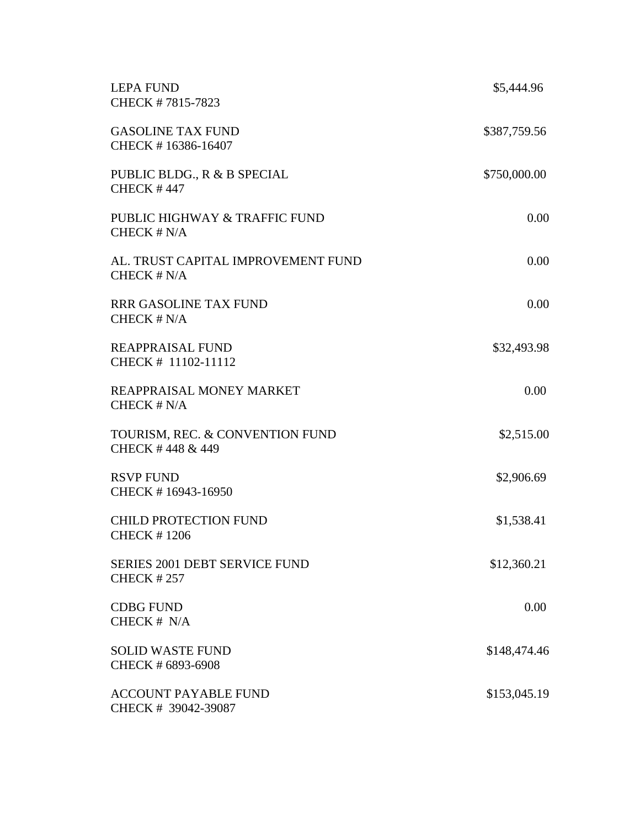| <b>LEPA FUND</b><br>CHECK #7815-7823                      | \$5,444.96   |
|-----------------------------------------------------------|--------------|
| <b>GASOLINE TAX FUND</b><br>CHECK #16386-16407            | \$387,759.56 |
| PUBLIC BLDG., R & B SPECIAL<br><b>CHECK #447</b>          | \$750,000.00 |
| PUBLIC HIGHWAY & TRAFFIC FUND<br>CHECK # N/A              | 0.00         |
| AL. TRUST CAPITAL IMPROVEMENT FUND<br>CHECK # N/A         | 0.00         |
| <b>RRR GASOLINE TAX FUND</b><br>CHECK # N/A               | 0.00         |
| REAPPRAISAL FUND<br>CHECK # 11102-11112                   | \$32,493.98  |
| REAPPRAISAL MONEY MARKET<br>CHECK # N/A                   | 0.00         |
| TOURISM, REC. & CONVENTION FUND<br>CHECK #448 & 449       | \$2,515.00   |
| <b>RSVP FUND</b><br>CHECK #16943-16950                    | \$2,906.69   |
| <b>CHILD PROTECTION FUND</b><br><b>CHECK #1206</b>        | \$1,538.41   |
| <b>SERIES 2001 DEBT SERVICE FUND</b><br><b>CHECK #257</b> | \$12,360.21  |
| <b>CDBG FUND</b><br>CHECK # N/A                           | 0.00         |
| <b>SOLID WASTE FUND</b><br>CHECK # 6893-6908              | \$148,474.46 |
| <b>ACCOUNT PAYABLE FUND</b><br>CHECK # 39042-39087        | \$153,045.19 |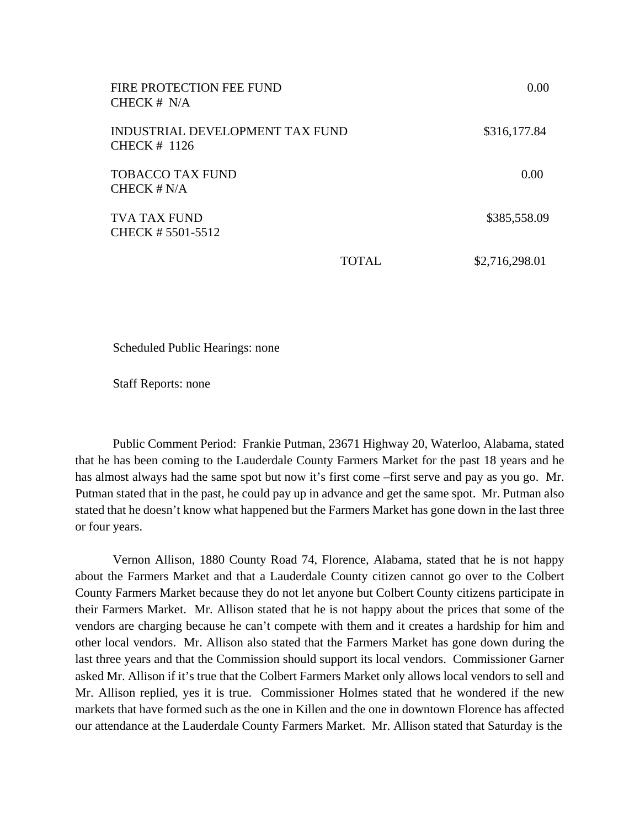| FIRE PROTECTION FEE FUND<br>CHECK $# N/A$         |              | 0.00           |
|---------------------------------------------------|--------------|----------------|
| INDUSTRIAL DEVELOPMENT TAX FUND<br>CHECK $#$ 1126 |              | \$316,177.84   |
| <b>TOBACCO TAX FUND</b><br>CHECK $# N/A$          |              | 0.00           |
| TVA TAX FUND<br>CHECK # 5501-5512                 |              | \$385,558.09   |
|                                                   | <b>TOTAL</b> | \$2,716,298.01 |

Scheduled Public Hearings: none

Staff Reports: none

Public Comment Period: Frankie Putman, 23671 Highway 20, Waterloo, Alabama, stated that he has been coming to the Lauderdale County Farmers Market for the past 18 years and he has almost always had the same spot but now it's first come –first serve and pay as you go. Mr. Putman stated that in the past, he could pay up in advance and get the same spot. Mr. Putman also stated that he doesn't know what happened but the Farmers Market has gone down in the last three or four years.

Vernon Allison, 1880 County Road 74, Florence, Alabama, stated that he is not happy about the Farmers Market and that a Lauderdale County citizen cannot go over to the Colbert County Farmers Market because they do not let anyone but Colbert County citizens participate in their Farmers Market. Mr. Allison stated that he is not happy about the prices that some of the vendors are charging because he can't compete with them and it creates a hardship for him and other local vendors. Mr. Allison also stated that the Farmers Market has gone down during the last three years and that the Commission should support its local vendors. Commissioner Garner asked Mr. Allison if it's true that the Colbert Farmers Market only allows local vendors to sell and Mr. Allison replied, yes it is true. Commissioner Holmes stated that he wondered if the new markets that have formed such as the one in Killen and the one in downtown Florence has affected our attendance at the Lauderdale County Farmers Market. Mr. Allison stated that Saturday is the